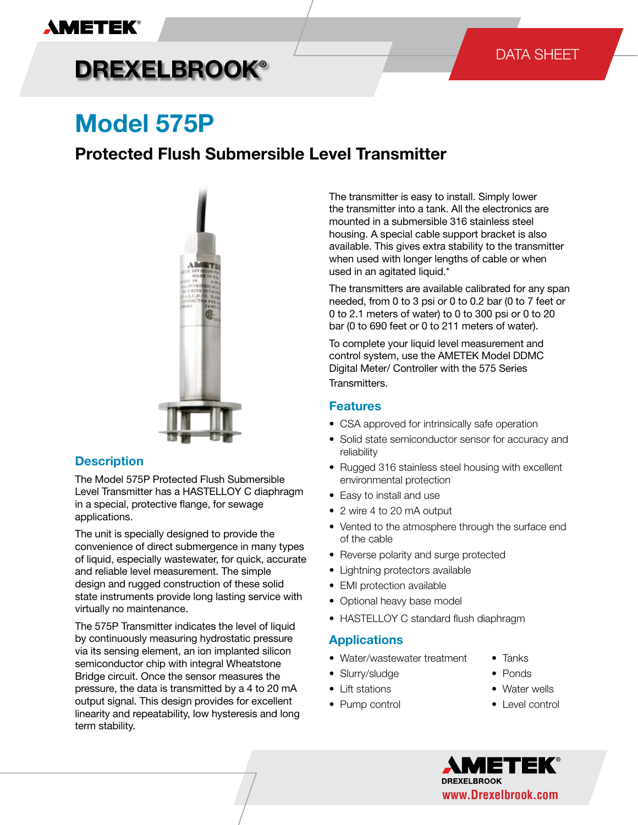# **DREXELBROOK®**

# **Model 575P**

### **Protected Flush Submersible Level Transmitter**



### **Description**

The Model 575P Protected Flush Submersible Level Transmitter has a HASTELLOY C diaphragm in a special, protective flange, for sewage applications.

The unit is specially designed to provide the convenience of direct submergence in many types of liquid, especially wastewater, for quick, accurate and reliable level measurement. The simple design and rugged construction of these solid state instruments provide long lasting service with virtually no maintenance.

The 575P Transmitter indicates the level of liquid by continuously measuring hydrostatic pressure via its sensing element, an ion implanted silicon semiconductor chip with integral Wheatstone Bridge circuit. Once the sensor measures the pressure, the data is transmitted by a 4 to 20 mA output signal. This design provides for excellent linearity and repeatability, low hysteresis and long term stability.

The transmitter is easy to install. Simply lower the transmitter into a tank. All the electronics are mounted in a submersible 316 stainless steel housing. A special cable support bracket is also available. This gives extra stability to the transmitter when used with longer lengths of cable or when used in an agitated liquid.\*

The transmitters are available calibrated for any span needed, from 0 to 3 psi or 0 to 0.2 bar (0 to 7 feet or 0 to 2.1 meters of water) to 0 to 300 psi or 0 to 20 bar (0 to 690 feet or 0 to 211 meters of water).

To complete your liquid level measurement and control system, use the AMETEK Model DDMC Digital Meter/ Controller with the 575 Series Transmitters.

### **Features**

- CSA approved for intrinsically safe operation
- Solid state semiconductor sensor for accuracy and reliability
- Rugged 316 stainless steel housing with excellent environmental protection
- Easy to install and use
- 2 wire 4 to 20 mA output
- Vented to the atmosphere through the surface end of the cable
- Reverse polarity and surge protected
- Lightning protectors available
- EMI protection available
- Optional heavy base model
- HASTELLOY C standard flush diaphragm

#### **Applications**

- Water/wastewater treatment Tanks
- Slurry/sludge Ponds
- Lift stations Water wells
- Pump control Level control
- 
- 
- -

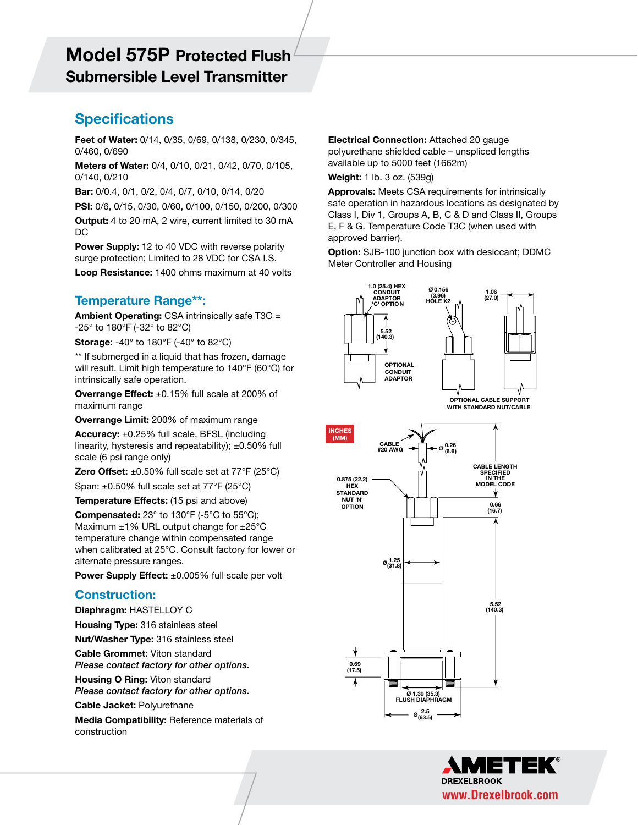# Submersible Level Transmitter **Model 575P Protected Flush**

### **Specifications**

**Feet of Water:** 0/14, 0/35, 0/69, 0/138, 0/230, 0/345, 0/460, 0/690 **Meters of Water:** 0/4, 0/10, 0/21, 0/42, 0/70, 0/105, **Model 575P Protected** 

0/140, 0/210 0/140, 0/210<br> **Bar:** 0/0.4, 0/1, 0/2, 0/4, 0/7, 0/10, 0/14, 0/20<br> **Approvals:** Meets CSA requirements for i

**PSI:** 0/6, 0/15, 0/30, 0/60, 0/100, 0/150, 0/200, 0/300

**Output:** 4 to 20 mA, 2 wire, current limited to 30 mA  $DC$ 

**Power Supply:** 12 to 40 VDC with reverse polarity surge protection; Limited to 28 VDC for CSA I.S. Loop Resistance: 1400 ohms maximum at 40 volts

### **Temperature Range\*\*:**

**Ambient Operating:** CSA intrinsically safe T3C = -25° to 180°F (-32° to 82°C)

**Storage:** -40° to 180°F (-40° to 82°C)

\*\* If submerged in a liquid that has frozen, damage will result. Limit high temperature to 140°F (60°C) for intrinsically safe operation.

**Overrange Effect:** ±0.15% full scale at 200% of maximum range *If submerged in a liquid that has from a liquid* $\alpha$ *n* **and** *n* **a liquid**  $\alpha$ *n* **and** *n* **a liquid**  $\alpha$ *n* **and** *n* **a liquid**  $\alpha$ *n* **and** *n* **a liquid**  $\alpha$ *n* **and** *n* **a liquid**  $\alpha$ *n* **and** *n* **a liquid** 

**Overrange Limit:** 200% of maximum range

**Accuracy:** ±0.25% full scale, BFSL (including linearity, hysteresis and repeatability);  $\pm 0.50\%$  full scale (6 psi range only)

**Zero Offset:**  $\pm 0.50\%$  full scale set at  $77^{\circ}$ F (25 $^{\circ}$ C)

Span:  $\pm 0.50\%$  full scale set at 77°F (25°C)

**Temperature Effects:** (15 psi and above)

**Compensated:**  $23^\circ$  to  $130^\circ$ F (-5 $^\circ$ C to  $55^\circ$ C); Maximum  $\pm 1\%$  URL output change for  $\pm 25^{\circ}$ C temperature change within compensated range when calibrated at 25°C. Consult factory for lower or alternate pressure ranges. or alternate pressure ranges.

**Power Supply Effect:** ±0.005% full scale per volt Power Supply Effect: ±0.005% full scale per volt

#### **Construction:** Construction: **DUISHUCHUII.**

**Diaphragm: HASTELLOY C** 

**Housing Type:** 316 stainless steel

**Nut/Washer Type:** 316 stainless steel

**Cable Grommet:** Viton standard

*Please contact factory for other options.* **Housing O Ring:** Viton standard Housing O Ring: Viton standard

*Please contact factory for other options. Please contact factory for other options.*

**Cable Jacket:** Polyurethane Cable Jacket: Polyurethane

**Media Compatibility: Reference materials of** construction: Attached 20 gauge polyurethane shielded 20 gauge polyurethane shielded 20 gauge polyurethane shi  $\frac{1}{2}$  , understand in the  $\frac{1}{2}$  feet (1662m) feet (1662m) feet (1662m) feet (1672m) feet (1672m) feet (1672m) feet (1672m) feet (1672m) feet (1672m) feet (1672m) feet (1672m) feet (1672m) feet (1672m) feet (1672m)

 $\overline{\phantom{a}}$ 

*Specifications are subject to change without notice. Visit our Web site for the most up-to-date information.* www.ametekpmt.com

**Electrical Connection:** Attached 20 gauge polyurethane shielded cable – unspliced lengths available up to 5000 feet (1662m)

**Weight:** 1 lb. 3 oz. (539g)

**Approvals:** Meets CSA requirements for intrinsically safe operation in hazardous locations as designated by Class I, Div 1, Groups A, B, C & D and Class II, Groups E, F & G. Temperature Code T3C (when used with approved barrier).

**ELMP - 2**

**Option:** SJB-100 junction box with desiccant; DDMC Meter Controller and Housing Controller and Housing



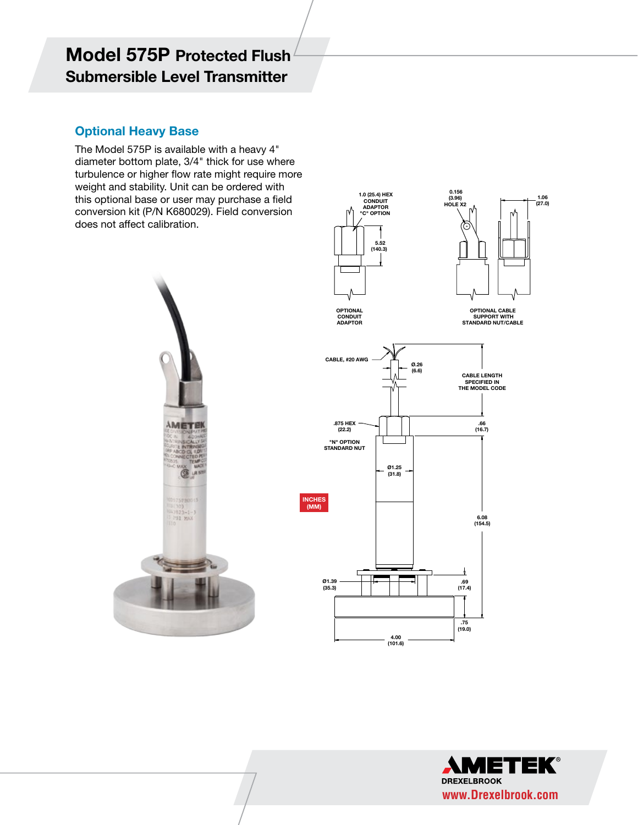## **Model 575P Protected Flush Submersible Level Transmitter**

# **Optional Heavy Base**

The Model 575P is available with a heavy 4"<br>diameter bottom plate 3/4" thick for use where diameter bottom plate, 3/4" thick for use where turbulence or higher flow rate might require more weight and stability. Unit can be ordered with this optional base or user may purchase a field and optional base of aser may parenase a nela<br>conversion kit (P/N K680029). Field conversion does not affect calibration. CONVEISION NIL (F/IN NOOUCE). FIEID CONVEISION



**1.0 (25.4) HEX CONDUIT ADAPTOR**

 **0.156 (3.96) HOLE X2**

 $\overline{\phantom{a}}$ 



**1.06 (27.0)**